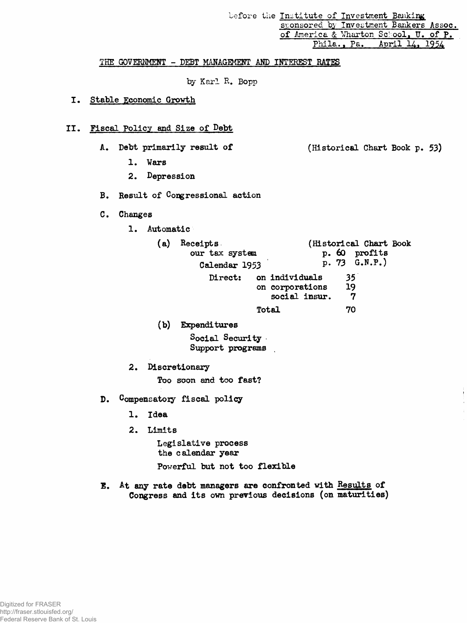before the Institute of Investment Banking sponsored by Investment Bankers Assoc. of America & Wharton School, U. of P. **Phila., Pa. April 14. 1954**

#### **THE GOVERNMENT - DEBT MANAGEMENT AND INTEREST RATES**

**by Karl R. Bopp**

# **I\* Stable Economic Growth**

#### **II. Fiscal Policy and Size of Debt**

- **A. Debt primarily result of (Historical Chart Book p. 53)**
	- **1. Wars**
	- **2. Depression**
- **B. Result of Congressional action**
- **C. Changes**
	- **1. Automatic**

| (a) | Receipts<br>our tax system<br>Calendar 1953 |                                                    | (Historical Chart Book)<br>p. 60 profits<br>p. 73 G.N.P.) |
|-----|---------------------------------------------|----------------------------------------------------|-----------------------------------------------------------|
|     | Direct:                                     | on individuals<br>on corporations<br>social insur. | 35<br>-19<br>7                                            |
|     |                                             | Total                                              | 70                                                        |

**(b) Expenditures**

**Social Security Support programs**

**2. Discretionary**

**Too soon and too fast?**

- **D. Compensatory fiscal policy**
	- **1. Idea**
	- **2. Limits**

**Legislative process the calendar year**

**Powerful but not too flexible**

**1. At any rate debt managers are confronted with Results of Congress and its own previous decisions (on maturities)**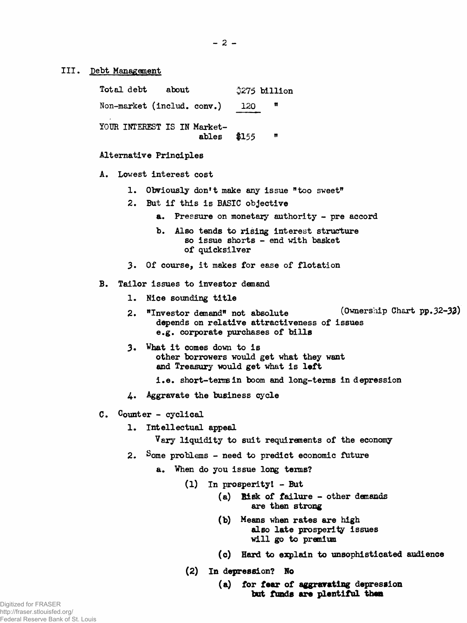**III. Debt Management**

| Total debt about            |              |     | \$275 billion |
|-----------------------------|--------------|-----|---------------|
| Non-market (includ. conv.)  |              | 120 | π             |
| YOUR INTEREST IS IN Market- | ables $$155$ |     | n             |

#### **Alternative Principles**

- **A. Lowest interest cost**
	- **1. Obviously don\*t make any issue "too sweet"**
	- **2. But if this is BASIC objective**
		- **a. Pressure on monetary authority pre accord**
		- **b. Also tends to rising interest structure so issue shorts - end with basket of quicksilver**
	- **3. Of course, it makes for ease of flotation**

#### **B. Tailor issues to investor demand**

- **1. Nice sounding title**
- 2. **"Investor demand" not absolute** (Ownership Chart pp. 32-32) **depends on relative attractiveness of issues e.g. corporate purchases of bills**
- **3. What it comes down to is other borrowers would get what they want and Treasury would get what is left**
	- **i.e. short-terrain boom and long-terms in depression**
- 4. Aggravate the business cycle
- **C. Counter cyclical**
	- **1. Intellectual appeal**

**Vary liquidity to suit requirements of the economy**

- **2. Some problems need to predict economic future**
	- **a. When do you issue long terns?**
		- **(1) In prosperity! But**
			- **(a) Bisk of failure other demands are then strong**
				- **(b) Means when rates are high also late prosperity issues will go to premium**
				- **(c) Hard to explain to unsophisticated audience**
		- **(2) In depression? No**

### **(a) for fear of aggravating depression but funds are plentiful then**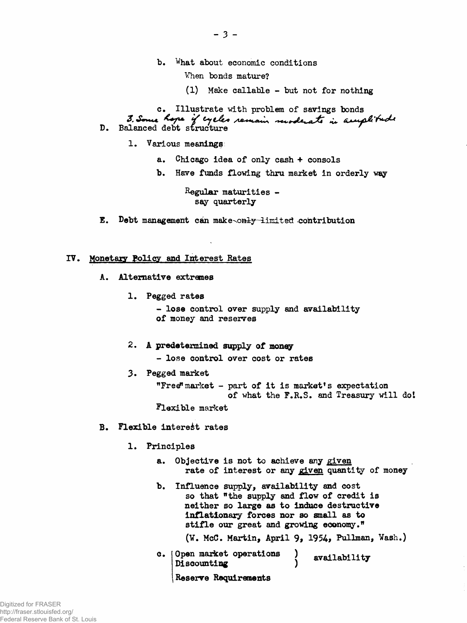- **b. What about economic conditions**
	- **When bonds mature?**
	- **(1) Make callable but not for nothing**

**c. Illustrate with problem of savings bonds D. Balanced debt structure '**

- **1. Various meanings**
	- **a. Chicago idea of only cash + consols**
	- **b. Have funds flowing thru market in orderly way**

**Regular maturities say quarterly**

**E.** Debt management can make-only-limited contribution

#### **IV, Monetary Policy and Interest Rates**

- **A. Alternative extremes**
	- **1. Pegged rates**

**- lose control over supply and availability of money and reserves**

**2. A predetermined supply of money**

**- lose control over cost or rates**

**3. Pegged market**

**"Free?1 market - part of it is market's expectation of what the F.R.S. and Treasury will dot**

**Flexible market**

- **B. Flexible interest rates**
	- **1. Principles**
		- **a. Objective is not to achieve any given rate of interest or any given quantity of money**
		- **b. Influence supply, availability and cost so that "the supply and flow of credit is neither so large as to induce destructive inflationary forces nor so small as to stifle our great and growing economy."**

**(¥. McC. Martin, April 9\* 1954, Pullman, Wash.)**

**c. Open market operations ) availability Discounting )**

**Reserve Requirements**